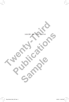

 $-$ <sup> $\vert$ </sup>  $\vert$ 

 $\mathbf{I}$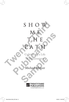# SHOW<br>
ME<br>
THE<br>
THE<br>
PATH<br>
Cultivating a Life<br>
of Discernment **PATH**<br>
Coltivating a Life<br>
Coltivating a Life<br>
Coltivating a Life<br>
Coltivating a Life<br>
Michael Mercer

of Discernment

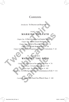#### Contents

*Introduction* To Discover and Respond

#### PART ONE **MARKING THE PATH**

*Chapter One* A Path through a God-Soaked World • 8 *Chapter Two* A Path toward *Shalom* • 20 *Chapter Three* A Path of Received Wisdom • 31 *Chapter Four* A Path Most Ordinary • 49 *Chapter Five* A Path with Surprises and Course Corrections • 62 Introduction To Discover and Respond<br>
PART ONE<br> **THE PATH**<br>
Chapter One A Path through a God-Soaked World<br>
Chapter Time A Path of Received Wisdom • 20<br>
Chapter Time A Path of Received Wisdom • 31<br>
Chapter Five A Path with **MARKING THE PATH**<br>
Chapter One A Path through a God-Soaked World • 8<br>
Chapter Tiroe A Path toward Shalom • 20<br>
Chapter Tiroe A Path of Received Wisdom • 31<br>
Chapter Five A Path with Surprises and Course Corrections • 62<br>

## PART TWO

WALKING THE PATH<br>
pter Six With Eyes to See and Ears to Hear<br>
Chapter Seven A Conversational Life • 89<br>
Chapter Eight Too Many Choices • 102<br>
In Differing Seasons and Circumstances of<br>
usion May Christ Teach You What Is Yo *Chapter Six* With Eyes to See and Ears to Hear • 74 *Chapter Seven* A Conversational Life • 89 *Chapter Eight* Too Many Choices • 102 *Chapter Nine* In Differing Seasons and Circumstances of Life • 111

*Conclusion* May Christ Teach You What Is Yours • 120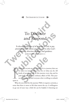#### $\frac{1}{2}$  INTRODUCTION  $\frac{1}{2}$

### To Discover and Respond

*To discern means first of all to listen to God, to pay attention to God's active presence, and to obey God's prompting, direction, leadings, and guidance.*  **HENRI NOUWEN,** *DISCERNMENT***, P. 5** To Discover<br>and Respond<br>To discern means first of all to listen to God, to p<br>attention to God's active presence, and to obey Ge<br>prompting, direction, leadings, and guidance. **Publication 2018**<br> **Publication 10 Respond**<br>
To discern means first of all to listen to God, to pay<br>
attention to God's active presence, and to obey God's<br>
prompting, direction, leadings, and guidance.<br>
HENRI NOUVER, DISC

I invite you to join me on a journey. It is a journey that can<br>be taken no matter where you live or what you do. All<br>kinds of people set off on this journey every day, and its<br>path leads through the ordinary affairs of lif be taken no matter where you live or what you do. All kinds of people set off on this journey every day, and its path leads through the ordinary affairs of life. This journey is for anyone and everyone who is willing to embark upon it. Figure 1.1 The set of the intervals of the intervals of people set off on this journey. It is a jou<br>taken no matter where you live or what ands of people set off on this journey ever<br>th leads through the ordinary affairs o

What do you need for the journey? Well, it requires curiosity, a sense that there is more to life than meets the eye. A willingness to go out of your way a little bit can be helpful. A listening ear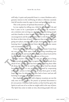will help. A quiet and prayerful heart is a must. Kindness and a genuine interest in the well-being of others is likewise essential. And all travelers must be eager to learn and grow along the way.

This is the journey of spiritual discernment.

Let me explain by telling you a little bit about what I do and how I came to be a participant on this journey. By vocation I am a minister, now serving as a chaplain who visits dying people and their families in their homes. I seek to bring them a word of encouragement and the promise that God is with them and cares for them in their time of need. This means that every day finds me going new places, meeting new people, hearing their stories, and learning how I might befriend them in their particular season and circumstance of life. And all travelers must be eager to learn and grow along the<br>This is the journey of spiritual discernment.<br>Let me explain by telling you a little bit about what I do<br>how I came to be a participant on this journey. By vocat<br>

Every day brings something new. And that means I must keep my eyes and ears wide open. Open to learning something new about life, others, and myself. Something new about God and his love. Each day, I find myself on a journey of discovery.

A wise teacher once taught me that my job is not to bring God to people. Instead, it is to recognize that God is already there ahead of me, and that God has been working among these folks all along. My job is to try and figure out what God has already been doing. Then it is my privilege to respond by cooperating with God's actions in their lives so as help them grow in faith, hope, and love. In other words, I have had to learn (and am still learning) to practice spiritual discernment. definition in their families in their homes. I seek to bring them a word of<br>neouragement and the promise that God is with them and cares<br>r them in their time of need. This means that every day finds me<br>ping new places, mee s, This Hillysch of a journey of diseasery.<br>
acher once taught me that my job is no<br>
le. Instead, it is to recognize that God is al<br>
and that God has been working among<br>
v job is to try and figure out what God<br>
Then it is

But chaplains and people with religious vocations are not the only ones on this journey. *The practice of spiritual discernment is for every person*. Christian faith teaches us that God has given the Spirit to each one of us so that we might walk in the way of Jesus. The Spirit has come to make us wise, discerning people who can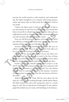perceive the world around us with sensitivity and understanding. The Spirit strengthens us to respond with loving presence, words, and actions that can help mend the torn fabric of life in our world.

I believe the Spirit wants to lead *you* on this path of discovery and response as well. Your way through the next twenty-four hours of your life is a blank slate. You never know what path you might find yourself on, what circumstances and people and needs you will encounter. But a few things are certain: words, and actions that can help mend the torn fabric of our world.<br>
I believe the Spirit wants to lead *you* on this path of ery and response as well. Your way through the next twen<br>
hours of your life is a blank slate. Y

First, you will find yourself in places and situations in which you will have to make choices about how you will act, what your attitudes will be, and what you will say (or not say).

Second, you will find yourself among people that you are called to interact with. These are the "neighbors" God calls us to love as an outflow of loving God with all our hearts.

Third, God has already gone ahead of you into those situations, and God has already been at work in the lives of those people. You will be entering God's playing field, as it were, where God has already been at work, long before you ever got there.

Fourth, your mission (should you decide to accept it, as the old TV show said) is to discern how you can best cooperate with God in those situations so as to bring God's love and shalom to light. Yours is a journey of discovery and response. A journey of learning how to participate in the life and mission of God in the world. might find yourself on, what circumstances and people and needs<br>you will encounter. But a few things are certain:<br>First, you will find yourself in places and situations in which<br>First, you will find yourself in places and I will be entering God's playing field, as i<br>
ready been at work, long before you ever<br>
your mission (should you decide to acc<br>
w said) is to discern how you can best cc<br>
ose situations so as to bring God's love<br>
uurs is a

Author Christopher de Vinck tells the story about the day when he, a teenager, was looking through a family photo album. His father joined him, and as the young man came to a certain page, he said, "You see that picture, Christopher?" It was a photograph that looked out over water, with buildings in the distance.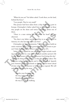"What do you see?" his father asked. "Look there, on the land, behind the fence."

"I see people. They're very small."

This picture had been taken from a ship departing a port in Europe. Christopher's father asked him to look closely at those tiny people on the shore and notice something about one of them.

"There is a man raising his arm above his head," the boy observed.

"Yes, that is my father waving good-bye to us as we sailed to America. It is the last time I ever saw him."

Christopher de Vinck comments, "I believe you can build an entire existence upon a single gesture passed from person to person"(*Only the Heart Knows Where to Find Them*, p. 47f).

Today, there is a path for you, a way that might include reaching out your hand in a way that will touch another person's life forever. Who knows what you will discover God doing this day?

Now, the thing about journeys is that they must be taken. The path into today lies before you and it must be walked. Spanish poet Antonio Machado reminds us that we cannot know ahead of time what we will discover or how we may respond. We will only know by taking the steps. "I see people. They're very small."<br>This picture had been taken from a ship departing a pe<br>Europe. Christopher's father asked him to look closely at<br>tiny people on the shore and notice something about on<br>them.<br>"There is a "There is a man raising his arm above his head," the boy<br>soserved.<br>"Yes, that is my father waving good-bye to us as we sailed to<br>merica. It is the last time I ever saw him."<br>Christopher de Vinck comments, "I believe you ca knows what you whi discover God dom<sub>i</sub>;<br>thing about journeys is that they must be<br>day lies before you and it must be walke<br>o Machado reminds us that we cannot k<br>we will discover or how we may resport<br>y taking the steps.<br>r,

Traveler, your footsteps are the way, and nothing more. Traveler, there is not a way; the way is made by walking.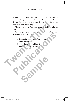Reading this book won't make you discerning and responsive. I hope it will help you know a bit more of what that means. I hope that it will encourage you to want this kind of life. But in the end, "the way is made by walking."

What do you think? Does this journey sound intriguing to you?

If so, then perhaps the best thing we can do as we begin is to pray along with the psalmist:

**Sample** 

In the morning let me hear of your mercy, for in you I trust. Show me the path I should walk, for I entrust my life to you. j **PSALM 143:8** that it will encourage you to want this kind of life. But in t<br>
"the way is made by walking."<br>
What do you think? Does this journey sound intrigy<br>
you?<br>
If so, then perhaps the best thing we can do as we beg<br>
pray along wi Pray along with the psalmists<br>
In the morning let me heart of your mercy,<br>
for in you I trust.<br>
Show me the path I should walk,<br>
for I entrust my life to you.<br>
\* PSALM 1838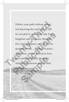Follow your path without a map, not knowing the way, and all will be revealed to you. Seek only God's kingdom and his justice through love and obedience, and all will be granted to you….Remain at peace yourselves, united to God in love, and continue blindly along the straight and narrow path of dut straight and narrow path of duty. Follow your path without a map,<br>not knowing the way, and all will<br>be revealed to you. Seek only God<br>kingdom and his justice through<br>love and obedience, and all will be<br>granted to you....Remain at peace<br>yourselves, united t be revealed to you. Seek only God's<br>kingdom and his justice through<br>love and obedience, and all will be<br>granted to you....Remain at peace<br>yourselves, united to God in love,<br>and continue blindly along the<br>straight and narro

j **JEAN-PIERRE DE CAUSSADE,**  *THE SACRAMENT OF THE PRESENT MOMENT***, P. 56F**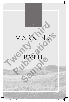

# MARKING THE Part One MARKINGS<br>
PATHE

PATH

**SALLE** 

8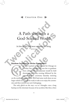#### **SOUTHER ONE ISSUE**

# A Path through a God-Soaked World A Path through a<br>God-Soaked World<br>In him we live and move and bave our being.<br>Random Incidents or Divine Encounters?<br>ail and I packed up and headed for Chicag

*In him we live and move and have our being.*  **ACTS 17:28**

#### Random Incidents or Divine Encounters?

Random Incidents or Divine Encounters?<br>
ail and I packed up and headed for Chicago on<br>
a Friday. Our youngest son was due to graduate<br>
from college. The baccalaureate would be held<br>
downtown on Friday evening, followed by a Friday. Our youngest son was due to graduate from college. The baccalaureate would be held downtown on Friday evening, followed by the commencement ceremony Saturday morning larger vehicle so it would be ready to take us to enjoy the ceremonies and then retrieve our son's belongings. **Publication COO A Solution COO A Solution COO A Solution COO A Solution COO A Solution COO A Solution COO A Solution COO A Solution COO A Friday. Our youngest son was due to graduate from college. The baccalaureate would ncidents or Divine Encounters?**<br>
ail and I packed up and headed for C<br>
a Friday. Our youngest son was due to<br>
from college. The baccalaureate wou<br>
downtown on Friday evening, follow<br>
commencement ceremony Saturday<br>
side a

The only glitch on the way—or so I thought—was a long backup on the interstate because of an accident. But then, when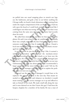we pulled into our usual stopping place to stretch our legs, use the bathroom, and grab a bite to eat before tackling the Chicago traffic, we heard a loud, obnoxious sound coming from under the engine compartment of the car. Being a guy, I had my wife open the hood so I could look under it and pretend like I could figure out what was wrong. All I could tell was that it was coming from the same area where our mechanic had recently done his work.

We called him immediately and even let him listen over the phone. He said it was related to the air conditioning. Thankfully, there was a simple, temporary fix, but I had to find a shop where someone could look at it. Fast. It was about 4:30 pm. I found a local auto repair shop that was nearby, and the mechanic encouraged me to bring the car in.

It turned out to be just the kind of shop I like. It seemed a well-run, independent operation, and the mechanic-owner explained everything carefully and clearly as we bent over the car's engine. He even printed out a picture of the damaged part and how it could be temporarily fixed so we could be on our way. Unfortunately, his shop was about to close. He recommended a larger garage down the street that was open until 7:00 pm. He knew the service manager and called ahead to explain the problem. Soon we were on our way. Chicago traffic, we heard a loud, obnoxious sound comin<br>under the engine compartment of the car. Being a guy, I<br>wife open the hood so I could look under it and preten<br>could figure out what was wrong. All I could tell was t done his work.<br>We called him immediately and even let him listen over the phone. He said it was related to the air conditioning. Thankfully, there was a simple, temporary fix, but I had to find a shop where someone could l e. He even printed out a picture of the c<br>could be temporarily fixed so we could b<br>tely, his shop was about to close. He reco<br>ge down the street that was open until<br>ervice manager and called ahead to expl<br>we were on our wa

It turned out the part was so damaged it would have to be replaced. The garage could fix it the next day. That meant we needed to make decisions, and whatever we decided, it would mean renting a car. The service manager set it up and offered to take us himself in his truck. We made small talk along the way and it soon dawned on me that I knew this guy! I had been the hospice chaplain for a member of his family. He was a man of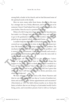strong faith, a leader in his church, and we had discussed some of the spiritual needs in the family.

Here we were, many miles from home, directed to this man by a stranger late on a Friday afternoon, and it turned out to be someone I knew! I had helped him with some family needs a few years before. Now he was in a position to help us!

Help us he did. Long story short, we missed the baccalaureate, but made it to Chicago, had a good night's sleep, and were able to go to the graduation without further incident. Afterward, we picked up our repaired vehicle and headed home.

I couldn't help but think that God had taken care of us. We discovered our car trouble just in time, in a safe place, without incident. We found just the right shop to diagnose the problem. The mechanic directed us to the right garage to fix the problem—and it turned out to be someone I had met personally and served, a person of faith and kindness, a man who went the extra mile to make sure our needs were met. Here we were, many miles from home, directed to this<br>by a stranger late on a Friday afternoon, and it turned out<br>someone I knew! I had helped him with some family needs<br>years before. Now he was in a position to help us!<br>He

You might call what happened in this experience "coincidence" or "good luck." We all have to interpret the things that happen in our lives. I prefer to think that we were involved in a series of "divine encounters" that in this case led to a helpful outcome. Of course, I had to pay an enormous bill, but I guess that shows me that I still have to depend on divine provision, even when God helps me! **Publication School Act Act and School Act and School Act and School Act and School Act and New York Colleg By so to the graduation without further incident. Afterward, we cked up our repaired vehicle and headed home.<br>
<b>Pu** It call what happened in this experient<br>cood luck." We all have to interpret the<br>ur lives. I prefer to think that we were in<br>ine encounters" that in this case led to a l<br>urse, I had to pay an enormous bill, but l<br>at I stil

We have choices in how we look at life. Henri Nouwen said that we can either experience our days as "a series of random incidents and accidents" or as "divine appointments and encounters" (*Discernment*, p. 114). The faith of Jesus teaches us to choose the latter, to believe that we are living in a God-soaked world. God is living, active, and everywhere present. God is with us. God goes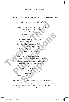before us. God helps us. God loves us and holds us in the palm of his hand.

Psalm 139 is a poetic expression of this faith:

Lord, you have probed me, you know me: you know when I sit and stand; you understand my thoughts from afar. You sift through my travels and my rest; with all my ways you are familiar. Even before a word is on my tongue, Lord, you know it all. Behind and before you encircle me and rest your hand upon me. Such knowledge is too wonderful for me, far too lofty for me to reach. Psalm 139 is a poetic expression of this faith.<br>
Lord, you have probed me, you know mex<br>
you know when I sit and stand;<br>
you understand my thoughts from a<br>far.<br>
You sift through my travels and my rest;<br>
with all my ways yo **Publication Publication Publication Publication Publication Publication Publication Publication Publication Publication Publication Publication Publication Publication Publication Publication** 

Where can I go from your spirit? From your presence, where can I flee? If I ascend to the heavens, you are there; if I lie down in Sheol, there you are. If I take the wings of dawn and dwell beyond the sea, Even there your hand guides me, your right hand holds me fast. j **PSALM 139:1–10** Fracture Can't go nonf your spint.<br>
Som your presence, where can I flee?<br>
Scend to the heavens, you are there;<br>
I lie down in Sheol, there you are.<br>
I lie down in Sheol, there you are.<br>
ke the wings of dawn<br>
d dwell beyond

Whatever path we take, wherever we may find ourselves, God is present. God is with us to guide, to relate to us with understanding, to hold us close as intimate friends and companions on the journey. We can also trust that God is present and active in the sit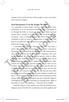uations we face and in the lives of the people we meet, even when that is hard to imagine.

#### God Encounters Us in the People We Meet

It is especially in those *people*, I believe, that God makes himself known to us. In sometimes surprising ways God speaks to us through the folks we encounter in our lives. Many spiritual writers that I consider to be masters in the art of spiritual discernment—such as Thomas Merton and Henri Nouwen—have reminded us that we need to pay attention to the people God puts in our path if we want to discern the presence and activity of God in the world.

I remember, for instance, visiting a man who had been a police officer and then an investigator for a major corporation. Sometimes he was asked by the company's HR department to take on the difficult job of dealing with employees who were being dismissed. He would go to that person's desk or office, watch as they cleaned it out, and then accompany them out of the building to make sure no equipment or proprietary information was stolen and to provide security in case there was an incident. These were situations ripe for conflict and ill will, even violence. His wife told me that HR liked to have him do this because he was so good at it. In fact, she said that one time, after having escorted a fired employee out, that employee actually sent him a "thank you" note for his kindness and consideration while doing a difficult job. Even though he was not a typically religious, churchgoing person, God reminded me through him: "What is desirable in a man is his kindness…" (Proverbs 19:22, NASB). **God Encounters Us in the People We Meet**<br>It is especially in those *people*, I believe, that God makes<br>self known to us. In sometimes surprising ways God spea<br>us through the folks we encounter in our lives. Many spi<br>write riters that I consider to be masters in the art of spiritual dis-<br>rrnment—such as Thomas Merton and Henri Nouwen—have<br>minded us that we need to pay attention to the people God<br>tis in our path if we want to discern the pres sect. The would go to that person's desired.<br>
y cleaned it out, and then accompany theorem of the properties of the security in case these were situations ripe for conflict and il<br>
is wife told me that HR liked to have hea

> I had the chance to visit another man who also had been nonreligious most of his life. He was likewise one of the gentlest and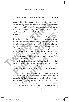kindest people you could meet. A musician, he had played saxophone for years in various clubs around the region. For some reason, we hit it off on our first visit, and you might have thought we were lifelong friends, the way we enjoyed being together and swapping stories. He eventually went into the hospital, and on my last visit I found him lying there unresponsive. So I took out my phone and played an old Billie Holiday tune for him as I sat by his bed.

At the funeral I was surprised to hear his daughter express thanks that he told her in his final weeks he had come to believe in God. Later, his wife said that meeting someone like me, who didn't fit his image of a "religious person" was a key factor in helping him come to faith. I had no idea. At the cemetery the family scattered his ashes in a wooded garden while a sax player from a well-known local jazz club played "When the Saints Go Marching In" as we committed him into God's care. In all of our "nonreligious" interactions, God had been present and active, and faith, hope, and love sprouted to life. reason, we hit it off on our first visit, and you might have t<br>we were lifelong friends, the way we enjoyed being togetl<br>swapping stories. He eventually went into the hospital,<br>my last visit I found him lying there unrespo by his bed.<br>At the funeral I was surprised to hear his daughter express<br>thanks that he told her in his final weeks he had come to believe<br>in God. Later, his wife said that meeting someone like me, who<br>didn't fit his image

I feel I have learned so much from people like these. God teaches me through them. Somehow, God touches them through me. It confirms to me that my dealings with people are part of a much larger picture in which the Spirit of God is personally interested and involved. ractions, God nad been present and actions<br>love sprouted to life.<br>have learned so much from people lik<br>through them. Somehow, God touches t<br>firms to me that my dealings with peop<br>ger picture in which the Spirit of God<br>and

Let me tell you about a family I've known for several years now. Several years ago, I met one of my favorite patients and his spouse, Leigh. They were not devout people, unless you count their devotion to playing golf. But Dick's terminal illness curbed his activities, humbled him, and gave him a lot to think about. Unable to do much more than sit in his chair, he looked forward to my visits, and as we talked, he often expressed a deep spiritual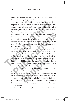hunger. We finished our times together with prayers, something he was always eager to participate in.

At one point, Dick decided he wanted to be baptized as a response of faith to God's love for him. As a hospice chaplain I sometimes do religious rituals on a nondenominational basis to meet my patients' spiritual needs, and so we arranged to have a baptism in their living room to mark Dick's faith. His son and family came to witness the event, and right then and there, in the moment, they were moved to ask to be baptized themselves. As did Leigh. It was a "household salvation" moment. We sang and rejoiced and embraced, celebrating the renewed faith of this entire family. I was convinced that God had orchestrated the whole event. At one point, Dick decided he wanted to be baptized<br>response of faith to God's love for him. As a hospice chap<br>sometimes do religious rituals on a nondenominational ba<br>meet my patients' spiritual needs, and so we arranged

Jack died, and I did his funeral, and a couple of years later Leigh succumbed to dementia and died as well. I did her service also. However, that did not end my relationship with this family. A few years later, I found out that their daughter's husband, Ted, had cancer. I called him immediately. "Mike," he said, "I'm gonna beat this." I told him I knew he would give it his best shot. So much sadness for this family, and yet so much grace and love. It made my heart fairly break. mily came to witness the event, and right then and there, in<br>ee moment, they were moved to ask to be baptized themselves.<br>s did Leigh. It was a "household salvation" moment. We sang<br>dd rejoiced and embraced, celebrating th

We didn't see each other again until Ted became a hospice patient and I visited him and his family in the hospital. Even as he lay dying, he was full of gratitude and joy, expressing love for his wife and appreciation for everyone who came to see him. He was eager to pray with me and talked of his love for God to the end. I officiated the funeral, and I continue to meet with members of his family to help them on their journey of grief, a decade after we first met. ater, **From but that then dagners** in called him immediately. "Mike," he said, jold him I knew he would give it his be s for this family, and yet so much grace and fairly break.<br>See each other again until Ted became is vis

That family has had a rough road. Their path has taken them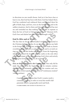in directions no one would choose. And yet it has been clear, at least to me, that God has been with them. God has helped them. God has comforted and embraced them and granted them his gifts of faith, hope, and love, even on the hardest days and in the saddest situations. And in them and through them, God has met me and reminded me that nothing "will be able to separate us from the love of God in Christ Jesus our Lord" (Romans 8:39). God's love and *shalom* have been evident through it all.

#### God Is Alive and at Work!

The fact that we live in a God-soaked world is fundamental to the Christian faith we profess. In our creeds we confess our faith in the living God—Father, Son, and Spirit—who made us, knows everything about us, loves us and redeems us, and is at work setting our lives and this broken world right. From the beginning, when God created the heavens and the earth, to the end, when we will participate in the life everlasting, God is here and actively fulfilling his loving purposes for all creation. God has comforted and embraced them and granted the<br>gifts of faith, hope, and love, even on the hardest days and<br>saddest situations. And in them and through them, God I<br>me and reminded me that nothing <sup>s</sup>will be able to se God's love and *shalom* have been evident through it all.<br> **Cod's love and** *shalom* have been evident through it all.<br> **Publication is and at Work!**<br>
The fact that we live in a God-soaked world is fundamental to<br>
the Chri

*First, we believe that God is the Creator of all.* Not only did he make the universe in the beginning, but he remains continually active in it, intimately engaged with his creation and creatures. Some writers speak of the doctrine of "continuous creation" (*creatio continua*): is loving purposes for all creation.<br> **Sample 19 is that God is the Creator of all.** No<br>
universe in the beginning, but he remain it, intimately engaged with his creative<br>
writers speak of the doctrine of "continu<br>
tinua):

*Creatio continua* suggests that [God's] creative work is constantly ongoing in order to reveal the world's full potential, which is perpetually novel and fresh.  $*$  **MARK HARRIS, THE NATURE OF CREATION, P. 116**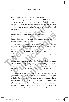God is busy leading this world toward a *new* creation, and he calls us to participate with him in that work. I like to think that when we cooperate with God in the course of our daily lives, we are "planting seeds" for that new creation, and that one day there will be a great harvest of *shalom* (wholeness and peace) that will fill the world.

Another way to look at this is through the Jewish teaching of *tikkun olam*, which suggests that working with God in this way helps to "repair the world"—mending the small tattered holes humans have made in the fabric of life through our sin and indifference over the course of time. when we cooperate with God in the course of our daily live<br>are "planting seeds" for that new creation, and that one day<br>will be a great harvest of *shalom* (wholeness and peace) tha<br>fill the world.<br>Another way to look at t

Or, we might remember that Jesus taught us to pray, "*May your kingdom come, may your will be done on earth as in heaven*." God's just and loving rule is made evident here and now when we participate with him in advancing his will here on earth.

God the Creator is everywhere present, ever making things new.

*Second, we are taught to believe that Jesus is the firstfruits of that new creation.* Living, dying, rising, and ascending into heaven, Jesus now rules at God's right hand to bring sin, evil, and injustice under his feet. The newness that God longs for has already begun in Jesus. **Example 18 The Second Act Section** Section 2 and Section 2 and Section 2 and Section 2 and Section 2 and Section 2 and Becker and Fig. Or, we might remember that Jesus taught us to pray, *"May your ngdom come, may your wi* **Sample 10 believe that Jesus is the firstfre**<br> **Sample 10 believe that Jesus is the firstfree (1)**<br> **Sample 10**<br> **Sample 10**<br> **Sample 10**<br> **Sample 10**<br> **Sample 10**<br> **Sample 10**<br> **Sample 10**<br> **Sample 10**<br> **Sample 10**<br> **Sam** 

Jesus came to open the door to God's new creation. When Jesus announced, "The kingdom of heaven is at hand," he was proclaiming that in him, God had come to take up his rule and begin to transform the world. Now God calls each of us to take our place as engaged members of the new creation that has already begun. Through Jesus, God entered the world in a new way and showed us how to live in this world with God. Under his rule, we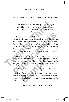lay down our lives for others as Jesus did. We die to ourselves and live to serve as his ambassadors for the life of the world.

I have been crucified with Christ; yet I live, no longer I, but Christ lives in me; insofar as I now live in the flesh, I live by faith in the Son of God who has loved me and given himself up for me.  $*$  GALATIANS 2:20

*Third, we have received the Holy Spirit.* The Spirit is God's presence in us and among us as God's people. Jesus told his disciples that it would actually be advantageous for us that he go away. That would allow him to send the Spirit, who would indwell us, guide us, teach us, comfort and encourage us, and empower us to show God's love to others each day. The Spirit pours out God's *shalom* in our hearts so that, through us, *shalom* might be restored to the world. I have been crucified with Christ; yet I live, no long<br>
1, but Christ lives in me; insofar as I now live in th<br>
flesh, I live by faith in the Son of God who has love<br>
me and given himself up for me.  $\bullet$  GaLATIANS 2:20<br>
Th **Third, we have received the Holy Spirit.** The Spirit is God's presence in us and among us as God's people. Jesus told his disciples that it would actually be advantageous for us that he go away. That would allow him to se

Through the Spirit, we have enhanced access to God through prayer, worship, the Scriptures, and spiritual practices that form us in faith, hope, and love. When we are walking our daily path, trying to discover God at work and figuring out how to respond, it is the Holy Spirit who is there to enlighten and help us.

God—Father, Son, and Holy Spirit—is with us on our daily path. And we live in a God-soaked world! God, in fact, has already gone ahead of us on that path and is constantly working to bring newness of life in places where death and despair have held sway. As we walk the path, face various situations, and encounter people along the way, we ask: Ship, the Scriptures, and spiritual practic hope, and love. When we are walking of siscover God at work and figuring out hook spirit who is there to enlighten and heather, Son, and Holy Spirit—is with us we live in a God-s

• Creator God, what are you doing to bring about new creation here?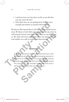- Lord Jesus, how can I lay down my life, as you did, that you may renew life here?
- Holy Spirit, how are you guiding here? Give me inner strength and wisdom to respond with love here!

We discover. We respond. But it's all within a God-soaked environment. We labor in God's field and work toward the day when he will bring the harvest. And God is with us, in us, and all around us. We walk with God on the path where the Spirit leads, and God enables us to walk in wisdom and discernment.

#### SUMMAR<sup>Y</sup>

A life of discernment relies on the truth that God is with us, in us, and all around us, at work bringing newness to the world. As I walk the path of my everyday life, God has already gone before me and has been working toward this purpose. It is my privilege to discover what God is doing and cooperate with him in that work. • Holy Spirit, how are you guiding here? Give me inner<br>strength and wisdom to respond with love here!<br>We discover. We respond. But it's all within a God-soaked env<br>ment. We labor in God's field and work toward the day wh<br>w **Publication Start And God is with us, in us, and all around**<br> **Publications In the Matter Start And God is with us, in us, and all around**<br> **Publications In the Spirit Leads, and**<br> **Publication and discernment.**<br> **Publica Sample the Sample Line State State State State State State State State State State State State State State State State State State State State State State State State State State State State State State State State State**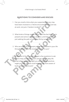#### QUESTIONS TO CONSIDER AND DISCUSS

- 1. Can you recall a time when you suspected that you may have been involved in a "divine encounter" where God was at work, not just a "random incident"?
- 2. What kinds of things might clue us in to the fact that God is present and active in a given situation, and that we are not just walking the path of everyday life by ourselves?
- 3. Who are some of the people you've encountered in your life through whom God has revealed himself to you?
- 4. At the end of the chapter, I suggest a few questions to ask God to help you discern God's activity in your daily life. What other questions might you ask and what practices might you take up that could help you be more aware of God's presence and work? Franch II. Can you recall a time when you suspected that you m<br>
have been involved in a "divine encounter" where Good at work, not just a "random incident"?<br>
2. What kinds of things might clue us in to the fact that the pr Franch 2. What kinds of things might clue us in to the fact that God is<br>present and active in a given situation, and that we are not<br>just walking the path of everyday life by ourselves?<br>3. Who are some of the people you've help you discern God's activity in your discern God's activity in your discern God's activity in your discern God's activity in your discern questions might you ask and what pour take up that could help you be more